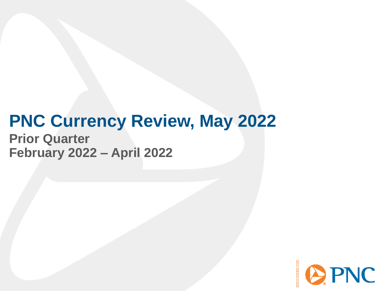# **PNC Currency Review, May 2022**

**Prior Quarter February 2022 – April 2022**

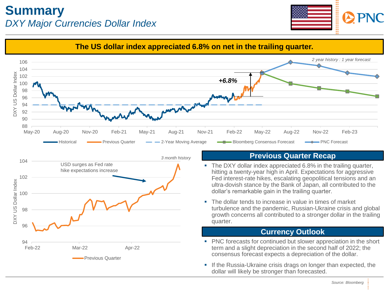#### **Summary** *DXY Major Currencies Dollar Index*





dollar will likely be stronger than forecasted.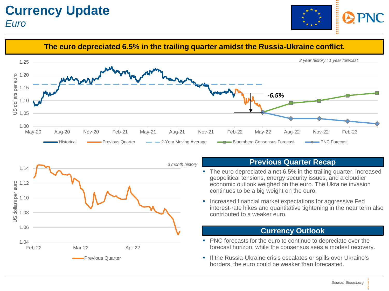





#### **Previous Quarter Recap**

- The euro depreciated a net 6.5% in the trailing quarter. Increased geopolitical tensions, energy security issues, and a cloudier economic outlook weighed on the euro. The Ukraine invasion continues to be a big weight on the euro.
- Increased financial market expectations for aggressive Fed interest-rate hikes and quantitative tightening in the near term also contributed to a weaker euro.

#### **Currency Outlook**

- PNC forecasts for the euro to continue to depreciate over the forecast horizon, while the consensus sees a modest recovery.
- If the Russia-Ukraine crisis escalates or spills over Ukraine's borders, the euro could be weaker than forecasted.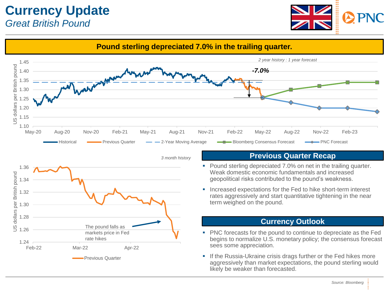### **Currency Update** *Great British Pound*



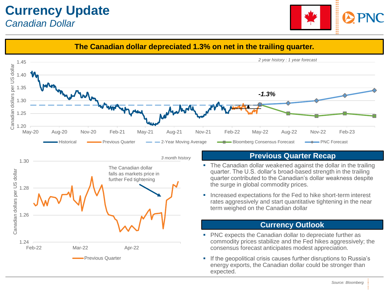

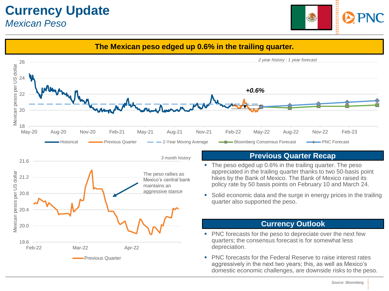### **Currency Update** *Mexican Peso*



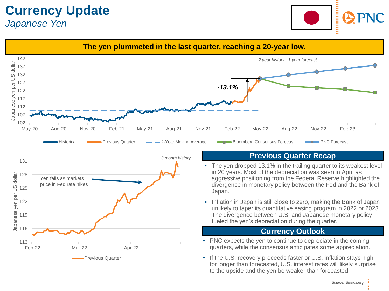### **Currency Update** *Japanese Yen*



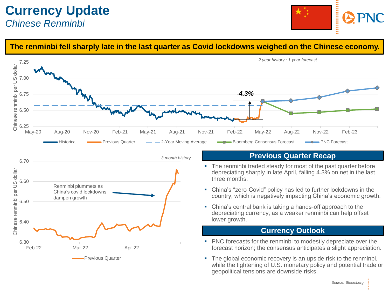

#### **The renminbi fell sharply late in the last quarter as Covid lockdowns weighed on the Chinese economy.**

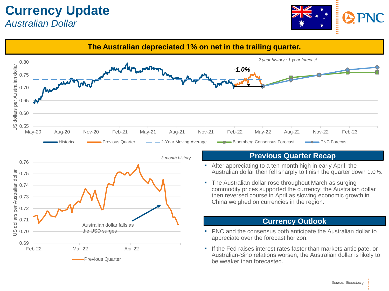

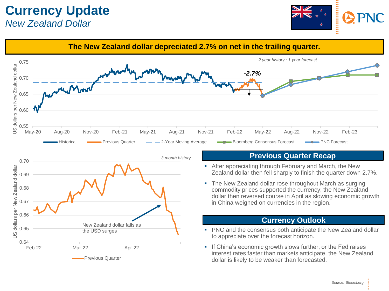

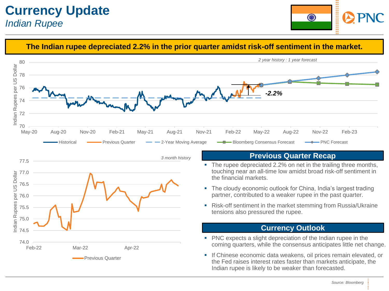### **Currency Update** *Indian Rupee*





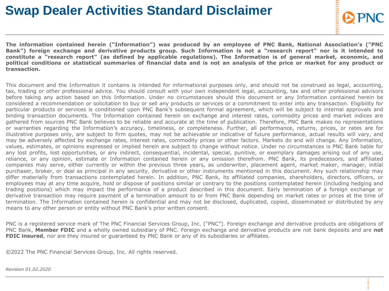# **Swap Dealer Activities Standard Disclaimer**

The information contained herein ("Information") was produced by an employee of PNC Bank, National Association's ("PNC Bank") foreign exchange and derivative products group. Such Information is not a "research report" nor is it intended to constitute a "research report" (as defined by applicable regulations). The Information is of general market, economic, and political conditions or statistical summaries of financial data and is not an analysis of the price or market for any product or **transaction.**

This document and the Information it contains is intended for informational purposes only, and should not be construed as legal, accounting, tax, trading or other professional advice. You should consult with your own independent legal, accounting, tax and other professional advisors before taking any action based on this Information. Under no circumstances should this document or any Information contained herein be considered a recommendation or solicitation to buy or sell any products or services or a commitment to enter into any transaction. Eligibility for particular products or services is conditioned upon PNC Bank's subsequent formal agreement, which will be subject to internal approvals and binding transaction documents. The Information contained herein on exchange and interest rates, commodity prices and market indices are gathered from sources PNC Bank believes to be reliable and accurate at the time of publication. Therefore, PNC Bank makes no representations or warranties regarding the Information's accuracy, timeliness, or completeness. Further, all performance, returns, prices, or rates are for illustrative purposes only, are subject to firm quotes, may not be achievable or indicative of future performance, actual results will vary, and may be adversely affected by exchange rates, interest rates, commodity prices or other factors. Markets do and will change. Any Information, values, estimates, or opinions expressed or implied herein are subject to change without notice. Under no circumstances is PNC Bank liable for any lost profits, lost opportunities, or any indirect, consequential, incidental, special, punitive, or exemplary damages arising out of any use, reliance, or any opinion, estimate or Information contained herein or any omission therefrom. PNC Bank, its predecessors, and affiliated companies may serve, either currently or within the previous three years, as underwriter, placement agent, market maker, manager, initial purchaser, broker, or deal as principal in any security, derivative or other instruments mentioned in this document. Any such relationship may differ materially from transactions contemplated herein. In addition, PNC Bank, its affiliated companies, shareholders, directors, officers, or employees may at any time acquire, hold or dispose of positions similar or contrary to the positions contemplated herein (including hedging and trading positions) which may impact the performance of a product described in this document. Early termination of a foreign exchange or derivative transaction may require payment of a termination amount to or from PNC Bank depending on market rates or prices at the time of termination. The Information contained herein is confidential and may not be disclosed, duplicated, copied, disseminated or distributed by any means to any other person or entity without PNC Bank's prior written consent.

PNC is a registered service mark of The PNC Financial Services Group, Inc. ("PNC"). Foreign exchange and derivative products are obligations of PNC Bank, **Member FDIC** and a wholly owned subsidiary of PNC. Foreign exchange and derivative products are not bank deposits and are **not FDIC insured**, nor are they insured or guaranteed by PNC Bank or any of its subsidiaries or affiliates.

©2022 The PNC Financial Services Group, Inc. All rights reserved.

*Revision 01.02.2020*